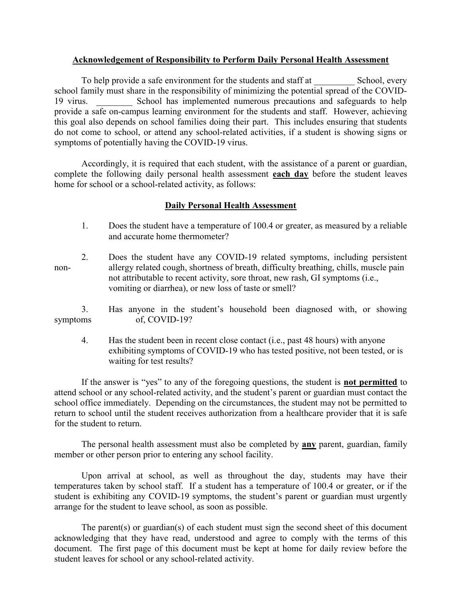## Acknowledgement of Responsibility to Perform Daily Personal Health Assessment

To help provide a safe environment for the students and staff at School, every school family must share in the responsibility of minimizing the potential spread of the COVID-19 virus. School has implemented numerous precautions and safeguards to help provide a safe on-campus learning environment for the students and staff. However, achieving this goal also depends on school families doing their part. This includes ensuring that students do not come to school, or attend any school-related activities, if a student is showing signs or symptoms of potentially having the COVID-19 virus.

 Accordingly, it is required that each student, with the assistance of a parent or guardian, complete the following daily personal health assessment each day before the student leaves home for school or a school-related activity, as follows:

## Daily Personal Health Assessment

- 1. Does the student have a temperature of 100.4 or greater, as measured by a reliable and accurate home thermometer?
- 2. Does the student have any COVID-19 related symptoms, including persistent non- allergy related cough, shortness of breath, difficulty breathing, chills, muscle pain not attributable to recent activity, sore throat, new rash, GI symptoms (i.e., vomiting or diarrhea), or new loss of taste or smell?
- 3. Has anyone in the student's household been diagnosed with, or showing symptoms of, COVID-19?
	- 4. Has the student been in recent close contact (i.e., past 48 hours) with anyone exhibiting symptoms of COVID-19 who has tested positive, not been tested, or is waiting for test results?

If the answer is "yes" to any of the foregoing questions, the student is **not permitted** to attend school or any school-related activity, and the student's parent or guardian must contact the school office immediately. Depending on the circumstances, the student may not be permitted to return to school until the student receives authorization from a healthcare provider that it is safe for the student to return.

The personal health assessment must also be completed by **any** parent, guardian, family member or other person prior to entering any school facility.

 Upon arrival at school, as well as throughout the day, students may have their temperatures taken by school staff. If a student has a temperature of 100.4 or greater, or if the student is exhibiting any COVID-19 symptoms, the student's parent or guardian must urgently arrange for the student to leave school, as soon as possible.

The parent(s) or guardian(s) of each student must sign the second sheet of this document acknowledging that they have read, understood and agree to comply with the terms of this document. The first page of this document must be kept at home for daily review before the student leaves for school or any school-related activity.